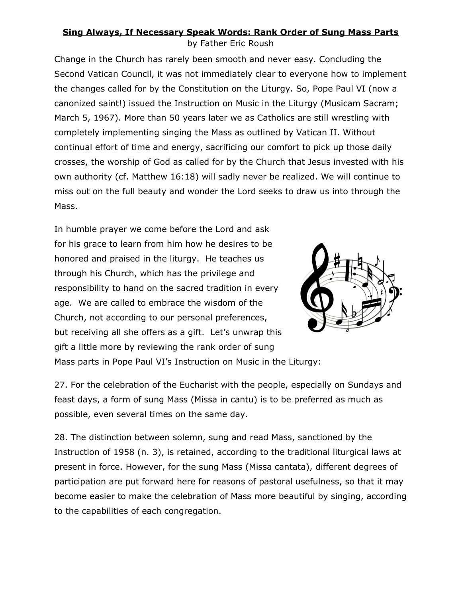## **Sing Always, If Necessary Speak Words: Rank Order of Sung Mass Parts** by Father Eric Roush

Change in the Church has rarely been smooth and never easy. Concluding the Second Vatican Council, it was not immediately clear to everyone how to implement the changes called for by the Constitution on the Liturgy. So, Pope Paul VI (now a canonized saint!) issued the Instruction on Music in the Liturgy (Musicam Sacram; March 5, 1967). More than 50 years later we as Catholics are still wrestling with completely implementing singing the Mass as outlined by Vatican II. Without continual effort of time and energy, sacrificing our comfort to pick up those daily crosses, the worship of God as called for by the Church that Jesus invested with his own authority (cf. Matthew 16:18) will sadly never be realized. We will continue to miss out on the full beauty and wonder the Lord seeks to draw us into through the Mass.

In humble prayer we come before the Lord and ask for his grace to learn from him how he desires to be honored and praised in the liturgy. He teaches us through his Church, which has the privilege and responsibility to hand on the sacred tradition in every age. We are called to embrace the wisdom of the Church, not according to our personal preferences, but receiving all she offers as a gift. Let's unwrap this gift a little more by reviewing the rank order of sung Mass parts in Pope Paul VI's Instruction on Music in the Liturgy:



27. For the celebration of the Eucharist with the people, especially on Sundays and feast days, a form of sung Mass (Missa in cantu) is to be preferred as much as possible, even several times on the same day.

28. The distinction between solemn, sung and read Mass, sanctioned by the Instruction of 1958 (n. 3), is retained, according to the traditional liturgical laws at present in force. However, for the sung Mass (Missa cantata), different degrees of participation are put forward here for reasons of pastoral usefulness, so that it may become easier to make the celebration of Mass more beautiful by singing, according to the capabilities of each congregation.